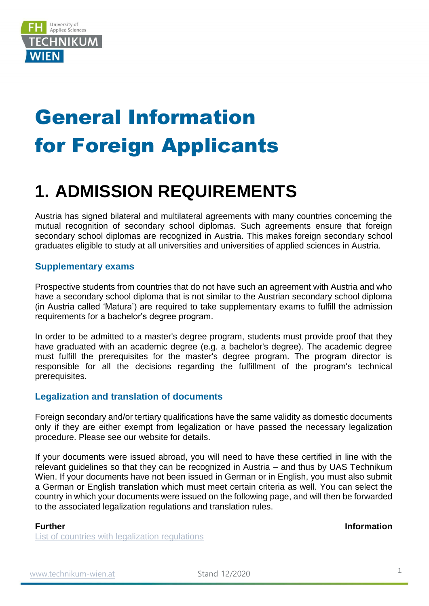

# General Information for Foreign Applicants

### **1. ADMISSION REQUIREMENTS**

Austria has signed bilateral and multilateral agreements with many countries concerning the mutual recognition of secondary school diplomas. Such agreements ensure that foreign secondary school diplomas are recognized in Austria. This makes foreign secondary school graduates eligible to study at all universities and universities of applied sciences in Austria.

### **Supplementary exams**

Prospective students from countries that do not have such an agreement with Austria and who have a secondary school diploma that is not similar to the Austrian secondary school diploma (in Austria called 'Matura') are required to take supplementary exams to fulfill the admission requirements for a bachelor's degree program.

In order to be admitted to a master's degree program, students must provide proof that they have graduated with an academic degree (e.g. a bachelor's degree). The academic degree must fulfill the prerequisites for the master's degree program. The program director is responsible for all the decisions regarding the fulfillment of the program's technical prerequisites.

### **Legalization and translation of documents**

Foreign secondary and/or tertiary qualifications have the same validity as domestic documents only if they are either exempt from legalization or have passed the necessary legalization procedure. Please see our website for details.

If your documents were issued abroad, you will need to have these certified in line with the relevant guidelines so that they can be recognized in Austria – and thus by UAS Technikum Wien. If your documents have not been issued in German or in English, you must also submit a German or English translation which must meet certain criteria as well. You can select the country in which your documents were issued on the following page, and will then be forwarded to the associated legalization regulations and translation rules.

[List of countries with legalization regulations](https://www.technikum-wien.at/en/list-of-countries/)

#### **Further Information**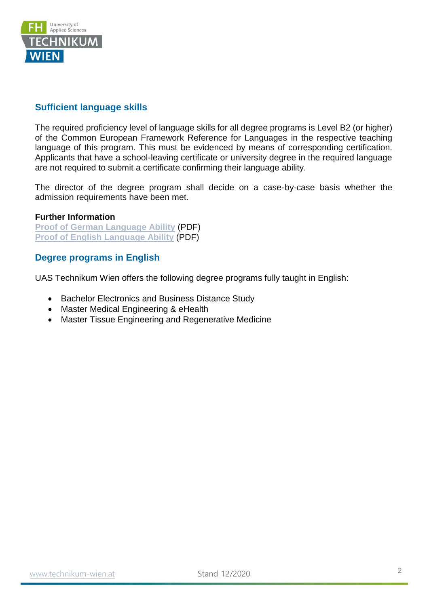

### **Sufficient language skills**

The required proficiency level of language skills for all degree programs is Level B2 (or higher) of the Common European Framework Reference for Languages in the respective teaching language of this program. This must be evidenced by means of corresponding certification. Applicants that have a school-leaving certificate or university degree in the required language are not required to submit a certificate confirming their language ability.

The director of the degree program shall decide on a case-by-case basis whether the admission requirements have been met.

#### **Further Information**

**[Proof of German Language Ability](https://www.technikum-wien.at/sites/default/files/proof_of_german_language_ability_.pdf)** (PDF) **[Proof of English Language Ability](https://www.technikum-wien.at/sites/default/files/proof_of_english_language_ability_.pdf)** (PDF)

### **Degree programs in English**

UAS Technikum Wien offers the following degree programs fully taught in English:

- Bachelor Electronics and Business Distance Study
- Master Medical Engineering & eHealth
- Master Tissue Engineering and Regenerative Medicine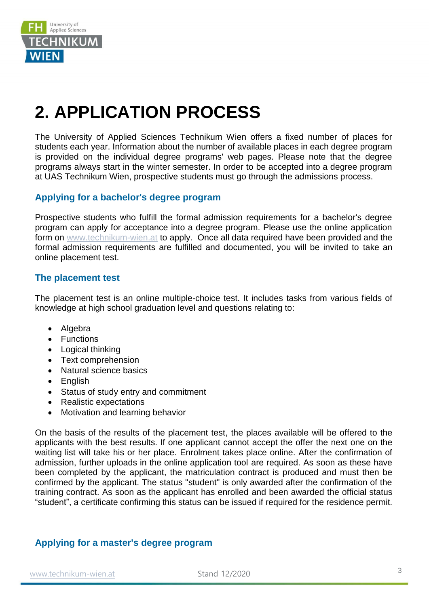

## **2. APPLICATION PROCESS**

The University of Applied Sciences Technikum Wien offers a fixed number of places for students each year. Information about the number of available places in each degree program is provided on the individual degree programs' web pages. Please note that the degree programs always start in the winter semester. In order to be accepted into a degree program at UAS Technikum Wien, prospective students must go through the admissions process.

### **Applying for a bachelor's degree program**

Prospective students who fulfill the formal admission requirements for a bachelor's degree program can apply for acceptance into a degree program. Please use the online application form on [www.technikum-wien.at](http://www.technikum-wien.at/) to apply. Once all data required have been provided and the formal admission requirements are fulfilled and documented, you will be invited to take an online placement test.

### **The placement test**

The placement test is an online multiple-choice test. It includes tasks from various fields of knowledge at high school graduation level and questions relating to:

- Algebra
- Functions
- Logical thinking
- Text comprehension
- Natural science basics
- English
- Status of study entry and commitment
- Realistic expectations
- Motivation and learning behavior

On the basis of the results of the placement test, the places available will be offered to the applicants with the best results. If one applicant cannot accept the offer the next one on the waiting list will take his or her place. Enrolment takes place online. After the confirmation of admission, further uploads in the online application tool are required. As soon as these have been completed by the applicant, the matriculation contract is produced and must then be confirmed by the applicant. The status "student" is only awarded after the confirmation of the training contract. As soon as the applicant has enrolled and been awarded the official status "student", a certificate confirming this status can be issued if required for the residence permit.

### **Applying for a master's degree program**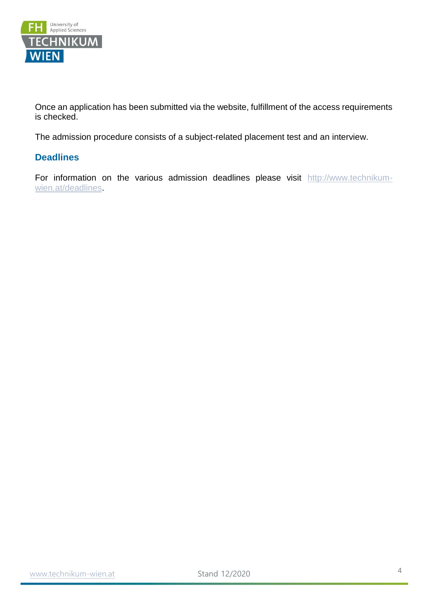

Once an application has been submitted via the website, fulfillment of the access requirements is checked.

The admission procedure consists of a subject-related placement test and an interview.

### **Deadlines**

For information on the various admission deadlines please visit [http://www.technikum](http://www.technikum-wien.at/deadlines)[wien.at/deadlines.](http://www.technikum-wien.at/deadlines)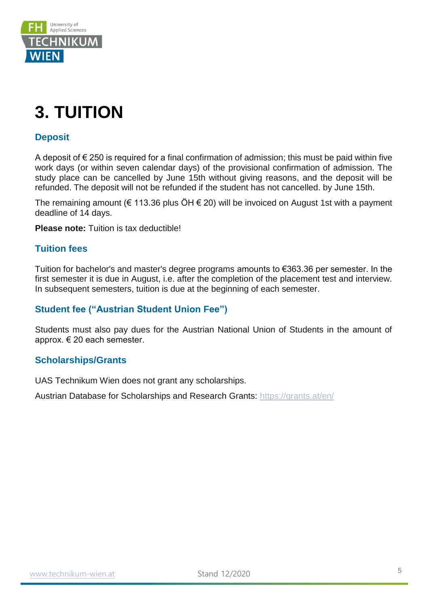

### **3. TUITION**

### **Deposit**

A deposit of  $\epsilon$  250 is required for a final confirmation of admission; this must be paid within five work days (or within seven calendar days) of the provisional confirmation of admission. The study place can be cancelled by June 15th without giving reasons, and the deposit will be refunded. The deposit will not be refunded if the student has not cancelled. by June 15th.

The remaining amount ( $\epsilon$  113.36 plus ÖH  $\epsilon$  20) will be invoiced on August 1st with a payment deadline of 14 days.

**Please note:** Tuition is tax deductible!

### **Tuition fees**

Tuition for bachelor's and master's degree programs amounts to €363.36 per semester. In the first semester it is due in August, i.e. after the completion of the placement test and interview. In subsequent semesters, tuition is due at the beginning of each semester.

### **Student fee ("Austrian Student Union Fee")**

Students must also pay dues for the Austrian National Union of Students in the amount of approx. € 20 each semester.

### **Scholarships/Grants**

UAS Technikum Wien does not grant any scholarships.

Austrian Database for Scholarships and Research Grants:<https://grants.at/en/>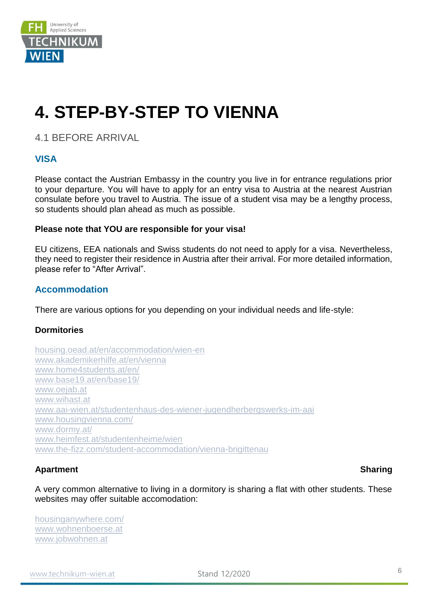

## **4. STEP-BY-STEP TO VIENNA**

4.1 BEFORE ARRIVAL

### **VISA**

Please contact the Austrian Embassy in the country you live in for entrance regulations prior to your departure. You will have to apply for an entry visa to Austria at the nearest Austrian consulate before you travel to Austria. The issue of a student visa may be a lengthy process, so students should plan ahead as much as possible.

#### **Please note that YOU are responsible for your visa!**

EU citizens, EEA nationals and Swiss students do not need to apply for a visa. Nevertheless, they need to register their residence in Austria after their arrival. For more detailed information, please refer to "After Arrival".

### **Accommodation**

There are various options for you depending on your individual needs and life-style:

### **Dormitories**

[housing.oead.at/en/accommodation/wien-en](http://housing.oead.at/en/accommodation/wien-en)  [www.akademikerhilfe.at/en/vienna](http://www.akademikerhilfe.at/en/vienna) [www.home4students.at/en/](https://www.home4students.at/en/) [www.base19.at/en/base19/](http://www.base19.at/en/base19/)  [www.oejab.at](http://www.oejab.at/) [www.wihast.at](http://www.wihast.at/)  [www.aai-wien.at/studentenhaus-des-wiener-jugendherbergswerks-im-aai](http://www.aai-wien.at/studentenhaus-des-wiener-jugendherbergswerks-im-aai)  [www.housingvienna.com/](http://www.housingvienna.com/)  [www.dormy.at/](https://www.dormy.at/) [www.heimfest.at/studentenheime/wien](http://www.heimfest.at/studentenheime/wien)  [www.the-fizz.com/student-accommodation/vienna-brigittenau](https://www.the-fizz.com/student-accommodation/vienna-brigittenau)

### Apartment Sharing

A very common alternative to living in a dormitory is sharing a flat with other students. These websites may offer suitable accomodation:

[housinganywhere.com/](https://housinganywhere.com/) [www.wohnenboerse.at](http://www.wohnenboerse.at/) [www.jobwohnen.at](http://www.jobwohnen.at/)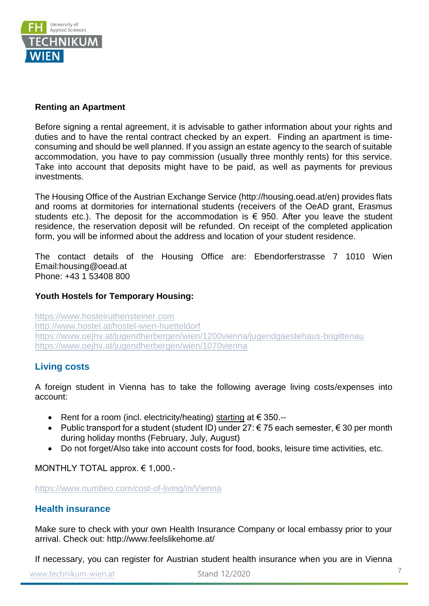

### **Renting an Apartment**

Before signing a rental agreement, it is advisable to gather information about your rights and duties and to have the rental contract checked by an expert. Finding an apartment is timeconsuming and should be well planned. If you assign an estate agency to the search of suitable accommodation, you have to pay commission (usually three monthly rents) for this service. Take into account that deposits might have to be paid, as well as payments for previous investments.

The Housing Office of the Austrian Exchange Service (http://housing.oead.at/en) provides flats and rooms at dormitories for international students (receivers of the OeAD grant, Erasmus students etc.). The deposit for the accommodation is  $\epsilon$  950. After you leave the student residence, the reservation deposit will be refunded. On receipt of the completed application form, you will be informed about the address and location of your student residence.

The contact details of the Housing Office are: Ebendorferstrasse 7 1010 Wien Email:housing@oead.at Phone: +43 1 53408 800

### **Youth Hostels for Temporary Housing:**

[https://www.hostelruthensteiner.com](https://www.hostelruthensteiner.com/)  <http://www.hostel.at/hostel-wien-huetteldorf> <https://www.oejhv.at/jugendherbergen/wien/1200vienna/jugendgaestehaus-brigittenau> <https://www.oejhv.at/jugendherbergen/wien/1070vienna>

### **Living costs**

A foreign student in Vienna has to take the following average living costs/expenses into account:

- Rent for a room (incl. electricity/heating) starting at € 350.--
- Public transport for a student (student ID) under  $27: € 75$  each semester,  $€ 30$  per month during holiday months (February, July, August)
- Do not forget/Also take into account costs for food, books, leisure time activities, etc.

MONTHLY TOTAL approx. € 1,000.-

<https://www.numbeo.com/cost-of-living/in/Vienna>

### **Health insurance**

Make sure to check with your own Health Insurance Company or local embassy prior to your arrival. Check out: http://www.feelslikehome.at/

If necessary, you can register for Austrian student health insurance when you are in Vienna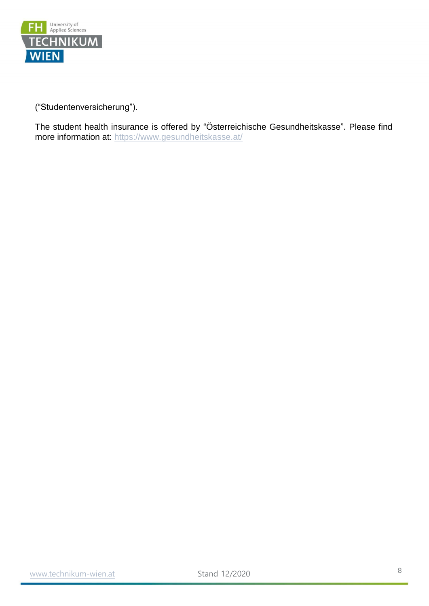

("Studentenversicherung").

The student health insurance is offered by "Österreichische Gesundheitskasse". Please find more information at:<https://www.gesundheitskasse.at/>